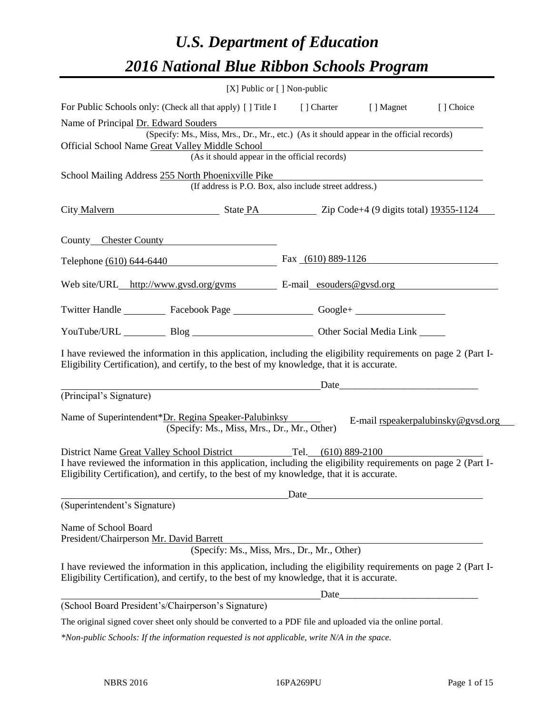# *U.S. Department of Education 2016 National Blue Ribbon Schools Program*

|                                                                                                                                                                                                                                                                                | $[X]$ Public or $[ ]$ Non-public            |                                                        |                                                                                                                                                                                                                               |                                    |
|--------------------------------------------------------------------------------------------------------------------------------------------------------------------------------------------------------------------------------------------------------------------------------|---------------------------------------------|--------------------------------------------------------|-------------------------------------------------------------------------------------------------------------------------------------------------------------------------------------------------------------------------------|------------------------------------|
| For Public Schools only: (Check all that apply) [] Title I                                                                                                                                                                                                                     |                                             | [ ] Charter                                            | [ ] Magnet                                                                                                                                                                                                                    | [] Choice                          |
| Name of Principal Dr. Edward Souders                                                                                                                                                                                                                                           |                                             |                                                        |                                                                                                                                                                                                                               |                                    |
| (Specify: Ms., Miss, Mrs., Dr., Mr., etc.) (As it should appear in the official records)                                                                                                                                                                                       |                                             |                                                        |                                                                                                                                                                                                                               |                                    |
| Official School Name Great Valley Middle School                                                                                                                                                                                                                                |                                             | (As it should appear in the official records)          |                                                                                                                                                                                                                               |                                    |
|                                                                                                                                                                                                                                                                                |                                             |                                                        |                                                                                                                                                                                                                               |                                    |
| School Mailing Address 255 North Phoenixville Pike                                                                                                                                                                                                                             |                                             | (If address is P.O. Box, also include street address.) |                                                                                                                                                                                                                               |                                    |
| City Malvern State PA Zip Code+4 (9 digits total) 19355-1124                                                                                                                                                                                                                   |                                             |                                                        |                                                                                                                                                                                                                               |                                    |
| County Chester County                                                                                                                                                                                                                                                          |                                             |                                                        |                                                                                                                                                                                                                               |                                    |
| Telephone (610) 644-6440 Fax (610) 889-1126                                                                                                                                                                                                                                    |                                             |                                                        |                                                                                                                                                                                                                               |                                    |
| Web site/URL_http://www.gysd.org/gyms E-mail_esouders@gysd.org                                                                                                                                                                                                                 |                                             |                                                        |                                                                                                                                                                                                                               |                                    |
| Twitter Handle ____________ Facebook Page ____________________ Google+ _____________________________                                                                                                                                                                           |                                             |                                                        |                                                                                                                                                                                                                               |                                    |
| YouTube/URL Blog Blog Cher Social Media Link                                                                                                                                                                                                                                   |                                             |                                                        |                                                                                                                                                                                                                               |                                    |
| I have reviewed the information in this application, including the eligibility requirements on page 2 (Part I-<br>Eligibility Certification), and certify, to the best of my knowledge, that it is accurate.                                                                   |                                             |                                                        |                                                                                                                                                                                                                               |                                    |
|                                                                                                                                                                                                                                                                                |                                             |                                                        | Date and the same state of the state of the state of the state of the state of the state of the state of the state of the state of the state of the state of the state of the state of the state of the state of the state of |                                    |
| (Principal's Signature)                                                                                                                                                                                                                                                        |                                             |                                                        |                                                                                                                                                                                                                               |                                    |
| Name of Superintendent*Dr. Regina Speaker-Palubinksy                                                                                                                                                                                                                           | (Specify: Ms., Miss, Mrs., Dr., Mr., Other) |                                                        |                                                                                                                                                                                                                               | E-mail rspeakerpalubinsky@gvsd.org |
| District Name Great Valley School District Tel. (610) 889-2100<br>I have reviewed the information in this application, including the eligibility requirements on page 2 (Part I-<br>Eligibility Certification), and certify, to the best of my knowledge, that it is accurate. |                                             |                                                        | Date                                                                                                                                                                                                                          |                                    |
| (Superintendent's Signature)                                                                                                                                                                                                                                                   |                                             |                                                        |                                                                                                                                                                                                                               |                                    |
|                                                                                                                                                                                                                                                                                |                                             |                                                        |                                                                                                                                                                                                                               |                                    |
| Name of School Board<br>President/Chairperson Mr. David Barrett                                                                                                                                                                                                                |                                             |                                                        |                                                                                                                                                                                                                               |                                    |
|                                                                                                                                                                                                                                                                                |                                             | (Specify: Ms., Miss, Mrs., Dr., Mr., Other)            | <u> 1989 - Johann Barn, mars an t-Amerikaansk politiker (</u>                                                                                                                                                                 |                                    |
| I have reviewed the information in this application, including the eligibility requirements on page 2 (Part I-                                                                                                                                                                 |                                             |                                                        |                                                                                                                                                                                                                               |                                    |
| Eligibility Certification), and certify, to the best of my knowledge, that it is accurate.                                                                                                                                                                                     |                                             |                                                        |                                                                                                                                                                                                                               |                                    |
| (School Board President's/Chairperson's Signature)                                                                                                                                                                                                                             |                                             |                                                        |                                                                                                                                                                                                                               |                                    |
| The original signed cover sheet only should be converted to a PDF file and uploaded via the online portal.                                                                                                                                                                     |                                             |                                                        |                                                                                                                                                                                                                               |                                    |

*\*Non-public Schools: If the information requested is not applicable, write N/A in the space.*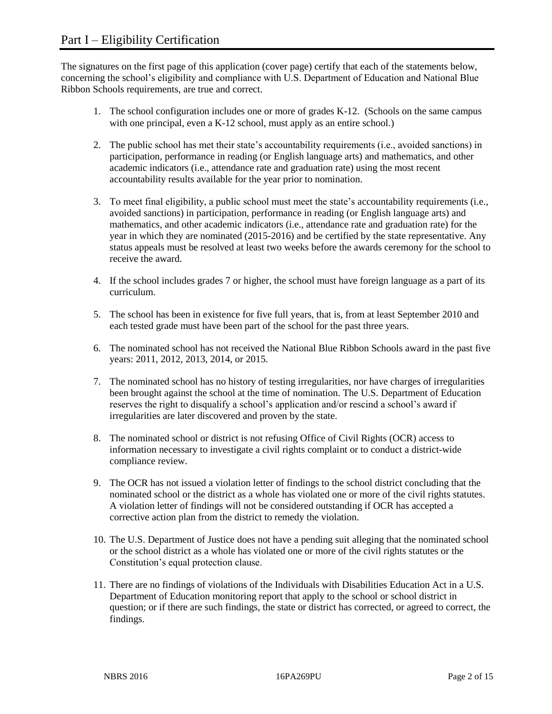The signatures on the first page of this application (cover page) certify that each of the statements below, concerning the school's eligibility and compliance with U.S. Department of Education and National Blue Ribbon Schools requirements, are true and correct.

- 1. The school configuration includes one or more of grades K-12. (Schools on the same campus with one principal, even a K-12 school, must apply as an entire school.)
- 2. The public school has met their state's accountability requirements (i.e., avoided sanctions) in participation, performance in reading (or English language arts) and mathematics, and other academic indicators (i.e., attendance rate and graduation rate) using the most recent accountability results available for the year prior to nomination.
- 3. To meet final eligibility, a public school must meet the state's accountability requirements (i.e., avoided sanctions) in participation, performance in reading (or English language arts) and mathematics, and other academic indicators (i.e., attendance rate and graduation rate) for the year in which they are nominated (2015-2016) and be certified by the state representative. Any status appeals must be resolved at least two weeks before the awards ceremony for the school to receive the award.
- 4. If the school includes grades 7 or higher, the school must have foreign language as a part of its curriculum.
- 5. The school has been in existence for five full years, that is, from at least September 2010 and each tested grade must have been part of the school for the past three years.
- 6. The nominated school has not received the National Blue Ribbon Schools award in the past five years: 2011, 2012, 2013, 2014, or 2015.
- 7. The nominated school has no history of testing irregularities, nor have charges of irregularities been brought against the school at the time of nomination. The U.S. Department of Education reserves the right to disqualify a school's application and/or rescind a school's award if irregularities are later discovered and proven by the state.
- 8. The nominated school or district is not refusing Office of Civil Rights (OCR) access to information necessary to investigate a civil rights complaint or to conduct a district-wide compliance review.
- 9. The OCR has not issued a violation letter of findings to the school district concluding that the nominated school or the district as a whole has violated one or more of the civil rights statutes. A violation letter of findings will not be considered outstanding if OCR has accepted a corrective action plan from the district to remedy the violation.
- 10. The U.S. Department of Justice does not have a pending suit alleging that the nominated school or the school district as a whole has violated one or more of the civil rights statutes or the Constitution's equal protection clause.
- 11. There are no findings of violations of the Individuals with Disabilities Education Act in a U.S. Department of Education monitoring report that apply to the school or school district in question; or if there are such findings, the state or district has corrected, or agreed to correct, the findings.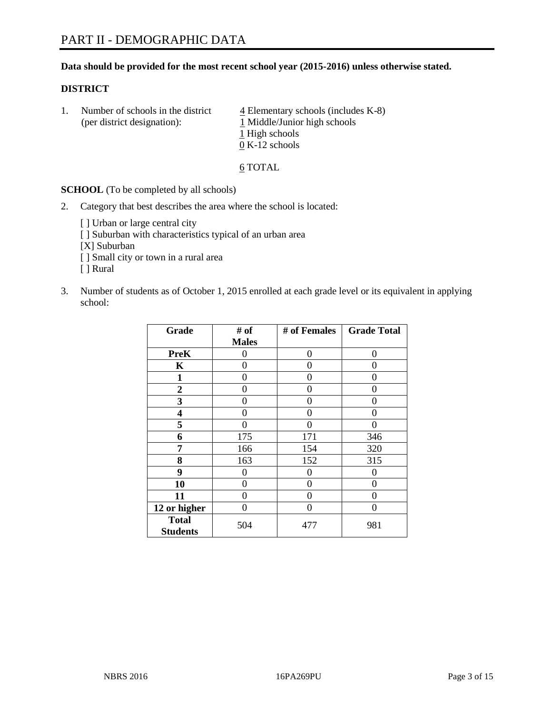## **Data should be provided for the most recent school year (2015-2016) unless otherwise stated.**

#### **DISTRICT**

1. Number of schools in the district  $\frac{4}{4}$  Elementary schools (includes K-8) (per district designation):  $\frac{1 \text{ Middle/Junior high schools}}{}$ 1 High schools 0 K-12 schools

#### 6 TOTAL

**SCHOOL** (To be completed by all schools)

- 2. Category that best describes the area where the school is located:
	- [] Urban or large central city [ ] Suburban with characteristics typical of an urban area [X] Suburban [ ] Small city or town in a rural area [ ] Rural
- 3. Number of students as of October 1, 2015 enrolled at each grade level or its equivalent in applying school:

| Grade                           | # of         | # of Females | <b>Grade Total</b> |
|---------------------------------|--------------|--------------|--------------------|
|                                 | <b>Males</b> |              |                    |
| <b>PreK</b>                     | 0            | 0            | 0                  |
| K                               | 0            | 0            | $\mathbf{\Omega}$  |
| 1                               | 0            | 0            | 0                  |
| 2                               | 0            | 0            | $\Omega$           |
| 3                               | 0            | 0            | $\Omega$           |
| 4                               | 0            | 0            | $\Omega$           |
| 5                               | 0            | 0            | $\Omega$           |
| 6                               | 175          | 171          | 346                |
| 7                               | 166          | 154          | 320                |
| 8                               | 163          | 152          | 315                |
| 9                               | 0            | 0            | $\theta$           |
| 10                              | $\theta$     | 0            | 0                  |
| 11                              | 0            | 0            | 0                  |
| 12 or higher                    | 0            | 0            | $\left( \right)$   |
| <b>Total</b><br><b>Students</b> | 504          | 477          | 981                |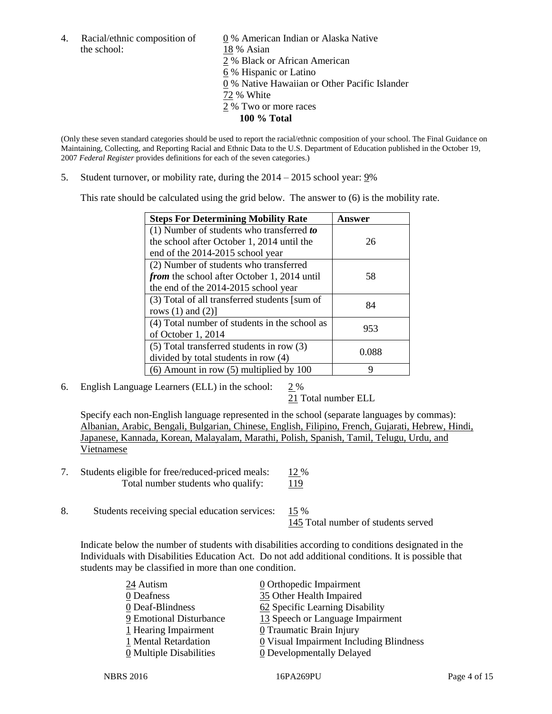the school: 18 % Asian

4. Racial/ethnic composition of  $\underline{0}$  % American Indian or Alaska Native 2 % Black or African American 6 % Hispanic or Latino 0 % Native Hawaiian or Other Pacific Islander 72 % White 2 % Two or more races **100 % Total**

(Only these seven standard categories should be used to report the racial/ethnic composition of your school. The Final Guidance on Maintaining, Collecting, and Reporting Racial and Ethnic Data to the U.S. Department of Education published in the October 19, 2007 *Federal Register* provides definitions for each of the seven categories.)

5. Student turnover, or mobility rate, during the  $2014 - 2015$  school year: 9%

This rate should be calculated using the grid below. The answer to (6) is the mobility rate.

| <b>Steps For Determining Mobility Rate</b>         | Answer |  |
|----------------------------------------------------|--------|--|
| $(1)$ Number of students who transferred to        |        |  |
| the school after October 1, 2014 until the         | 26     |  |
| end of the 2014-2015 school year                   |        |  |
| (2) Number of students who transferred             |        |  |
| <i>from</i> the school after October 1, 2014 until | 58     |  |
| the end of the 2014-2015 school year               |        |  |
| (3) Total of all transferred students [sum of      | 84     |  |
| rows $(1)$ and $(2)$ ]                             |        |  |
| (4) Total number of students in the school as      | 953    |  |
| of October 1, 2014                                 |        |  |
| $(5)$ Total transferred students in row $(3)$      | 0.088  |  |
| divided by total students in row (4)               |        |  |
| $(6)$ Amount in row $(5)$ multiplied by 100        | Q      |  |

6. English Language Learners (ELL) in the school:  $2\%$ 

21 Total number ELL

Specify each non-English language represented in the school (separate languages by commas): Albanian, Arabic, Bengali, Bulgarian, Chinese, English, Filipino, French, Gujarati, Hebrew, Hindi, Japanese, Kannada, Korean, Malayalam, Marathi, Polish, Spanish, Tamil, Telugu, Urdu, and Vietnamese

- 7. Students eligible for free/reduced-priced meals: 12 % Total number students who qualify: 119
- 8. Students receiving special education services: 15 %

145 Total number of students served

Indicate below the number of students with disabilities according to conditions designated in the Individuals with Disabilities Education Act. Do not add additional conditions. It is possible that students may be classified in more than one condition.

| 24 Autism               | $\underline{0}$ Orthopedic Impairment   |
|-------------------------|-----------------------------------------|
| 0 Deafness              | 35 Other Health Impaired                |
| 0 Deaf-Blindness        | 62 Specific Learning Disability         |
| 9 Emotional Disturbance | 13 Speech or Language Impairment        |
| 1 Hearing Impairment    | 0 Traumatic Brain Injury                |
| 1 Mental Retardation    | 0 Visual Impairment Including Blindness |
| 0 Multiple Disabilities | 0 Developmentally Delayed               |
|                         |                                         |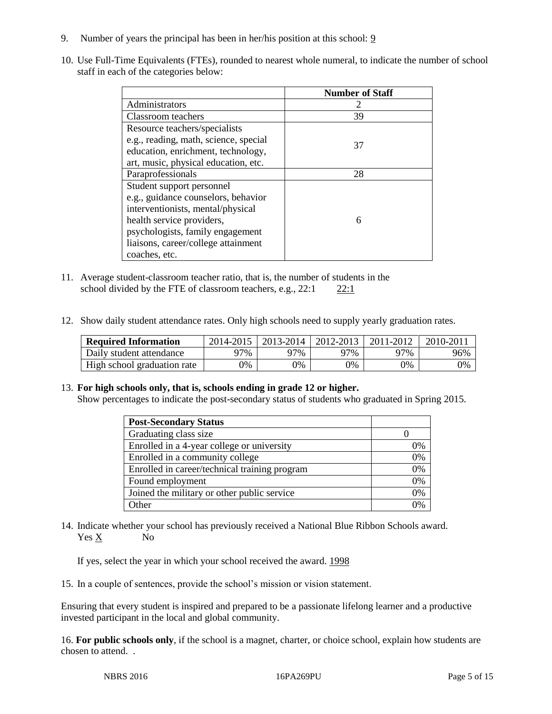- 9. Number of years the principal has been in her/his position at this school: 9
- 10. Use Full-Time Equivalents (FTEs), rounded to nearest whole numeral, to indicate the number of school staff in each of the categories below:

|                                       | <b>Number of Staff</b> |
|---------------------------------------|------------------------|
| Administrators                        |                        |
| Classroom teachers                    | 39                     |
| Resource teachers/specialists         |                        |
| e.g., reading, math, science, special | 37                     |
| education, enrichment, technology,    |                        |
| art, music, physical education, etc.  |                        |
| Paraprofessionals                     | 28                     |
| Student support personnel             |                        |
| e.g., guidance counselors, behavior   |                        |
| interventionists, mental/physical     |                        |
| health service providers,             | 6                      |
| psychologists, family engagement      |                        |
| liaisons, career/college attainment   |                        |
| coaches, etc.                         |                        |

- 11. Average student-classroom teacher ratio, that is, the number of students in the school divided by the FTE of classroom teachers, e.g.,  $22:1$  22:1
- 12. Show daily student attendance rates. Only high schools need to supply yearly graduation rates.

| <b>Required Information</b> | 2014-2015 | $2013 - 2014$ | 2012-2013 | 2011-2012 | 2010-201 |
|-----------------------------|-----------|---------------|-----------|-----------|----------|
| Daily student attendance    | 77%       | 97%           | 97%       | 97%       | 96%      |
| High school graduation rate | 9%        | 0%            | 0%        | 9%        | 0%       |

## 13. **For high schools only, that is, schools ending in grade 12 or higher.**

Show percentages to indicate the post-secondary status of students who graduated in Spring 2015.

| <b>Post-Secondary Status</b>                  |                |
|-----------------------------------------------|----------------|
| Graduating class size                         |                |
| Enrolled in a 4-year college or university    | 0%             |
| Enrolled in a community college               | 0%             |
| Enrolled in career/technical training program | 0%             |
| Found employment                              | 0%             |
| Joined the military or other public service   | 0%             |
| Other                                         | $\frac{10}{6}$ |

14. Indicate whether your school has previously received a National Blue Ribbon Schools award. Yes X No

If yes, select the year in which your school received the award. 1998

15. In a couple of sentences, provide the school's mission or vision statement.

Ensuring that every student is inspired and prepared to be a passionate lifelong learner and a productive invested participant in the local and global community.

16. **For public schools only**, if the school is a magnet, charter, or choice school, explain how students are chosen to attend. .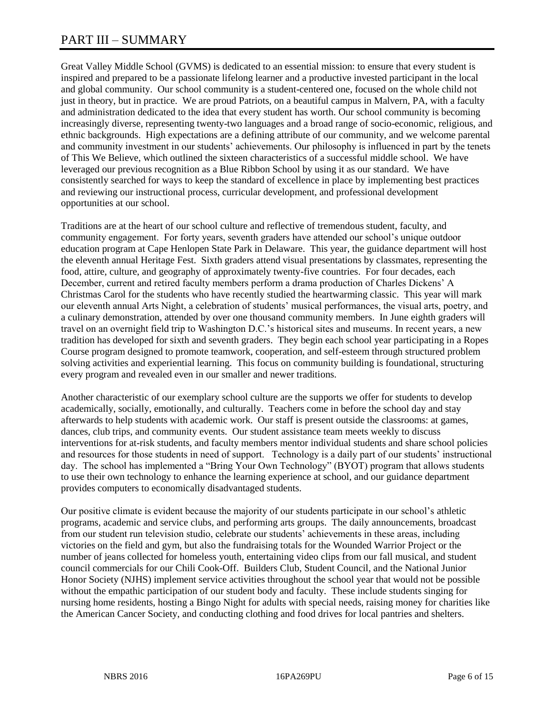## PART III – SUMMARY

Great Valley Middle School (GVMS) is dedicated to an essential mission: to ensure that every student is inspired and prepared to be a passionate lifelong learner and a productive invested participant in the local and global community. Our school community is a student-centered one, focused on the whole child not just in theory, but in practice. We are proud Patriots, on a beautiful campus in Malvern, PA, with a faculty and administration dedicated to the idea that every student has worth. Our school community is becoming increasingly diverse, representing twenty-two languages and a broad range of socio-economic, religious, and ethnic backgrounds. High expectations are a defining attribute of our community, and we welcome parental and community investment in our students' achievements. Our philosophy is influenced in part by the tenets of This We Believe, which outlined the sixteen characteristics of a successful middle school. We have leveraged our previous recognition as a Blue Ribbon School by using it as our standard. We have consistently searched for ways to keep the standard of excellence in place by implementing best practices and reviewing our instructional process, curricular development, and professional development opportunities at our school.

Traditions are at the heart of our school culture and reflective of tremendous student, faculty, and community engagement. For forty years, seventh graders have attended our school's unique outdoor education program at Cape Henlopen State Park in Delaware. This year, the guidance department will host the eleventh annual Heritage Fest. Sixth graders attend visual presentations by classmates, representing the food, attire, culture, and geography of approximately twenty-five countries. For four decades, each December, current and retired faculty members perform a drama production of Charles Dickens' A Christmas Carol for the students who have recently studied the heartwarming classic. This year will mark our eleventh annual Arts Night, a celebration of students' musical performances, the visual arts, poetry, and a culinary demonstration, attended by over one thousand community members. In June eighth graders will travel on an overnight field trip to Washington D.C.'s historical sites and museums. In recent years, a new tradition has developed for sixth and seventh graders. They begin each school year participating in a Ropes Course program designed to promote teamwork, cooperation, and self-esteem through structured problem solving activities and experiential learning. This focus on community building is foundational, structuring every program and revealed even in our smaller and newer traditions.

Another characteristic of our exemplary school culture are the supports we offer for students to develop academically, socially, emotionally, and culturally. Teachers come in before the school day and stay afterwards to help students with academic work. Our staff is present outside the classrooms: at games, dances, club trips, and community events. Our student assistance team meets weekly to discuss interventions for at-risk students, and faculty members mentor individual students and share school policies and resources for those students in need of support. Technology is a daily part of our students' instructional day. The school has implemented a "Bring Your Own Technology" (BYOT) program that allows students to use their own technology to enhance the learning experience at school, and our guidance department provides computers to economically disadvantaged students.

Our positive climate is evident because the majority of our students participate in our school's athletic programs, academic and service clubs, and performing arts groups. The daily announcements, broadcast from our student run television studio, celebrate our students' achievements in these areas, including victories on the field and gym, but also the fundraising totals for the Wounded Warrior Project or the number of jeans collected for homeless youth, entertaining video clips from our fall musical, and student council commercials for our Chili Cook-Off. Builders Club, Student Council, and the National Junior Honor Society (NJHS) implement service activities throughout the school year that would not be possible without the empathic participation of our student body and faculty. These include students singing for nursing home residents, hosting a Bingo Night for adults with special needs, raising money for charities like the American Cancer Society, and conducting clothing and food drives for local pantries and shelters.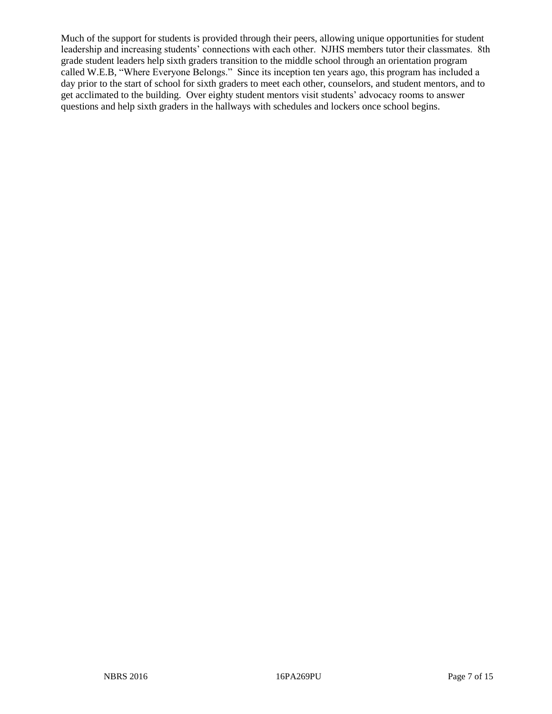Much of the support for students is provided through their peers, allowing unique opportunities for student leadership and increasing students' connections with each other. NJHS members tutor their classmates. 8th grade student leaders help sixth graders transition to the middle school through an orientation program called W.E.B, "Where Everyone Belongs." Since its inception ten years ago, this program has included a day prior to the start of school for sixth graders to meet each other, counselors, and student mentors, and to get acclimated to the building. Over eighty student mentors visit students' advocacy rooms to answer questions and help sixth graders in the hallways with schedules and lockers once school begins.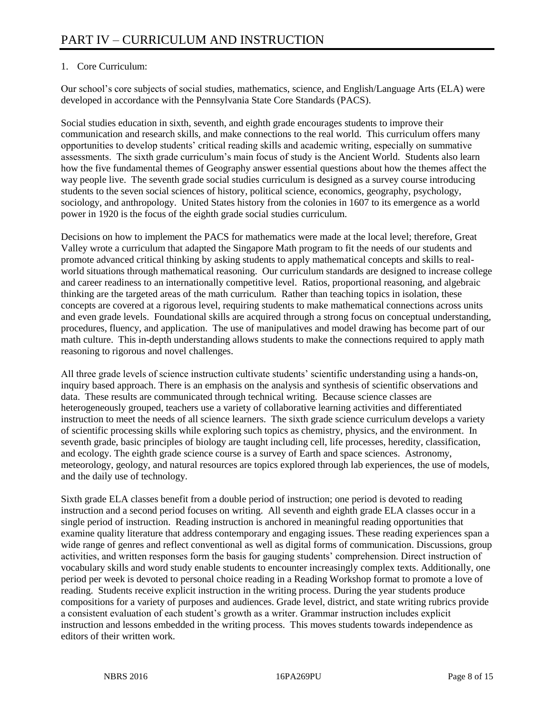## 1. Core Curriculum:

Our school's core subjects of social studies, mathematics, science, and English/Language Arts (ELA) were developed in accordance with the Pennsylvania State Core Standards (PACS).

Social studies education in sixth, seventh, and eighth grade encourages students to improve their communication and research skills, and make connections to the real world. This curriculum offers many opportunities to develop students' critical reading skills and academic writing, especially on summative assessments. The sixth grade curriculum's main focus of study is the Ancient World. Students also learn how the five fundamental themes of Geography answer essential questions about how the themes affect the way people live. The seventh grade social studies curriculum is designed as a survey course introducing students to the seven social sciences of history, political science, economics, geography, psychology, sociology, and anthropology. United States history from the colonies in 1607 to its emergence as a world power in 1920 is the focus of the eighth grade social studies curriculum.

Decisions on how to implement the PACS for mathematics were made at the local level; therefore, Great Valley wrote a curriculum that adapted the Singapore Math program to fit the needs of our students and promote advanced critical thinking by asking students to apply mathematical concepts and skills to realworld situations through mathematical reasoning. Our curriculum standards are designed to increase college and career readiness to an internationally competitive level. Ratios, proportional reasoning, and algebraic thinking are the targeted areas of the math curriculum. Rather than teaching topics in isolation, these concepts are covered at a rigorous level, requiring students to make mathematical connections across units and even grade levels. Foundational skills are acquired through a strong focus on conceptual understanding, procedures, fluency, and application. The use of manipulatives and model drawing has become part of our math culture. This in-depth understanding allows students to make the connections required to apply math reasoning to rigorous and novel challenges.

All three grade levels of science instruction cultivate students' scientific understanding using a hands-on, inquiry based approach. There is an emphasis on the analysis and synthesis of scientific observations and data. These results are communicated through technical writing. Because science classes are heterogeneously grouped, teachers use a variety of collaborative learning activities and differentiated instruction to meet the needs of all science learners. The sixth grade science curriculum develops a variety of scientific processing skills while exploring such topics as chemistry, physics, and the environment. In seventh grade, basic principles of biology are taught including cell, life processes, heredity, classification, and ecology. The eighth grade science course is a survey of Earth and space sciences. Astronomy, meteorology, geology, and natural resources are topics explored through lab experiences, the use of models, and the daily use of technology.

Sixth grade ELA classes benefit from a double period of instruction; one period is devoted to reading instruction and a second period focuses on writing. All seventh and eighth grade ELA classes occur in a single period of instruction. Reading instruction is anchored in meaningful reading opportunities that examine quality literature that address contemporary and engaging issues. These reading experiences span a wide range of genres and reflect conventional as well as digital forms of communication. Discussions, group activities, and written responses form the basis for gauging students' comprehension. Direct instruction of vocabulary skills and word study enable students to encounter increasingly complex texts. Additionally, one period per week is devoted to personal choice reading in a Reading Workshop format to promote a love of reading. Students receive explicit instruction in the writing process. During the year students produce compositions for a variety of purposes and audiences. Grade level, district, and state writing rubrics provide a consistent evaluation of each student's growth as a writer. Grammar instruction includes explicit instruction and lessons embedded in the writing process. This moves students towards independence as editors of their written work.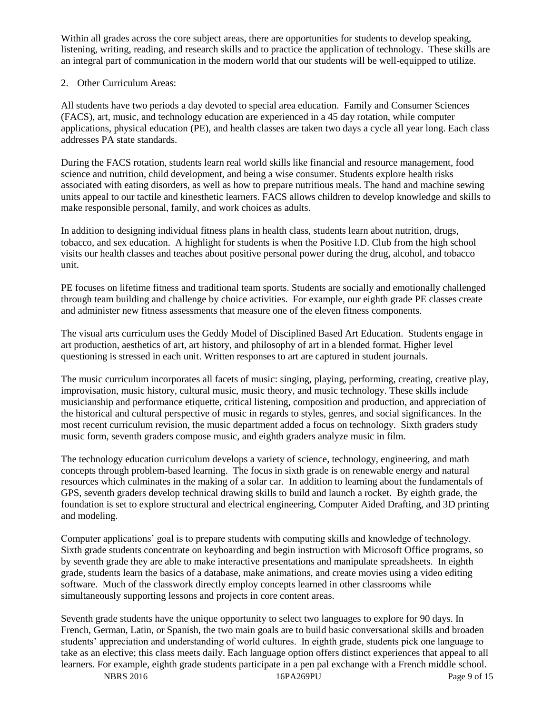Within all grades across the core subject areas, there are opportunities for students to develop speaking, listening, writing, reading, and research skills and to practice the application of technology. These skills are an integral part of communication in the modern world that our students will be well-equipped to utilize.

## 2. Other Curriculum Areas:

All students have two periods a day devoted to special area education. Family and Consumer Sciences (FACS), art, music, and technology education are experienced in a 45 day rotation, while computer applications, physical education (PE), and health classes are taken two days a cycle all year long. Each class addresses PA state standards.

During the FACS rotation, students learn real world skills like financial and resource management, food science and nutrition, child development, and being a wise consumer. Students explore health risks associated with eating disorders, as well as how to prepare nutritious meals. The hand and machine sewing units appeal to our tactile and kinesthetic learners. FACS allows children to develop knowledge and skills to make responsible personal, family, and work choices as adults.

In addition to designing individual fitness plans in health class, students learn about nutrition, drugs, tobacco, and sex education. A highlight for students is when the Positive I.D. Club from the high school visits our health classes and teaches about positive personal power during the drug, alcohol, and tobacco unit.

PE focuses on lifetime fitness and traditional team sports. Students are socially and emotionally challenged through team building and challenge by choice activities. For example, our eighth grade PE classes create and administer new fitness assessments that measure one of the eleven fitness components.

The visual arts curriculum uses the Geddy Model of Disciplined Based Art Education. Students engage in art production, aesthetics of art, art history, and philosophy of art in a blended format. Higher level questioning is stressed in each unit. Written responses to art are captured in student journals.

The music curriculum incorporates all facets of music: singing, playing, performing, creating, creative play, improvisation, music history, cultural music, music theory, and music technology. These skills include musicianship and performance etiquette, critical listening, composition and production, and appreciation of the historical and cultural perspective of music in regards to styles, genres, and social significances. In the most recent curriculum revision, the music department added a focus on technology. Sixth graders study music form, seventh graders compose music, and eighth graders analyze music in film.

The technology education curriculum develops a variety of science, technology, engineering, and math concepts through problem-based learning. The focus in sixth grade is on renewable energy and natural resources which culminates in the making of a solar car. In addition to learning about the fundamentals of GPS, seventh graders develop technical drawing skills to build and launch a rocket. By eighth grade, the foundation is set to explore structural and electrical engineering, Computer Aided Drafting, and 3D printing and modeling.

Computer applications' goal is to prepare students with computing skills and knowledge of technology. Sixth grade students concentrate on keyboarding and begin instruction with Microsoft Office programs, so by seventh grade they are able to make interactive presentations and manipulate spreadsheets. In eighth grade, students learn the basics of a database, make animations, and create movies using a video editing software. Much of the classwork directly employ concepts learned in other classrooms while simultaneously supporting lessons and projects in core content areas.

Seventh grade students have the unique opportunity to select two languages to explore for 90 days. In French, German, Latin, or Spanish, the two main goals are to build basic conversational skills and broaden students' appreciation and understanding of world cultures. In eighth grade, students pick one language to take as an elective; this class meets daily. Each language option offers distinct experiences that appeal to all learners. For example, eighth grade students participate in a pen pal exchange with a French middle school.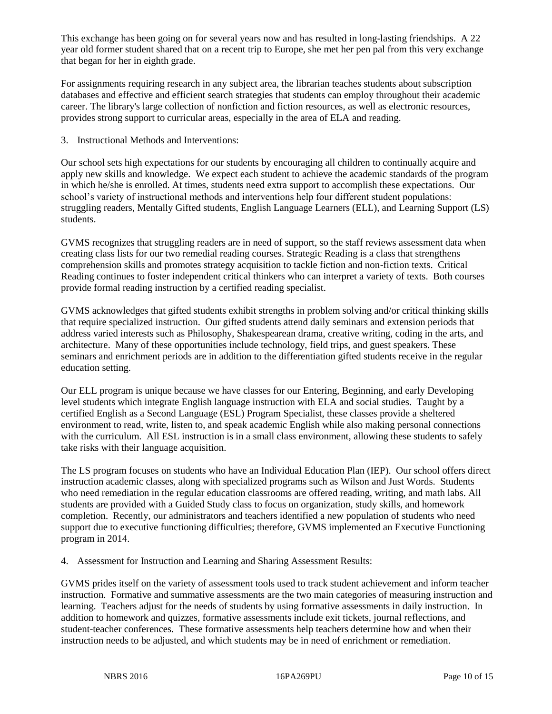This exchange has been going on for several years now and has resulted in long-lasting friendships. A 22 year old former student shared that on a recent trip to Europe, she met her pen pal from this very exchange that began for her in eighth grade.

For assignments requiring research in any subject area, the librarian teaches students about subscription databases and effective and efficient search strategies that students can employ throughout their academic career. The library's large collection of nonfiction and fiction resources, as well as electronic resources, provides strong support to curricular areas, especially in the area of ELA and reading.

3. Instructional Methods and Interventions:

Our school sets high expectations for our students by encouraging all children to continually acquire and apply new skills and knowledge. We expect each student to achieve the academic standards of the program in which he/she is enrolled. At times, students need extra support to accomplish these expectations. Our school's variety of instructional methods and interventions help four different student populations: struggling readers, Mentally Gifted students, English Language Learners (ELL), and Learning Support (LS) students.

GVMS recognizes that struggling readers are in need of support, so the staff reviews assessment data when creating class lists for our two remedial reading courses. Strategic Reading is a class that strengthens comprehension skills and promotes strategy acquisition to tackle fiction and non-fiction texts. Critical Reading continues to foster independent critical thinkers who can interpret a variety of texts. Both courses provide formal reading instruction by a certified reading specialist.

GVMS acknowledges that gifted students exhibit strengths in problem solving and/or critical thinking skills that require specialized instruction. Our gifted students attend daily seminars and extension periods that address varied interests such as Philosophy, Shakespearean drama, creative writing, coding in the arts, and architecture. Many of these opportunities include technology, field trips, and guest speakers. These seminars and enrichment periods are in addition to the differentiation gifted students receive in the regular education setting.

Our ELL program is unique because we have classes for our Entering, Beginning, and early Developing level students which integrate English language instruction with ELA and social studies. Taught by a certified English as a Second Language (ESL) Program Specialist, these classes provide a sheltered environment to read, write, listen to, and speak academic English while also making personal connections with the curriculum. All ESL instruction is in a small class environment, allowing these students to safely take risks with their language acquisition.

The LS program focuses on students who have an Individual Education Plan (IEP). Our school offers direct instruction academic classes, along with specialized programs such as Wilson and Just Words. Students who need remediation in the regular education classrooms are offered reading, writing, and math labs. All students are provided with a Guided Study class to focus on organization, study skills, and homework completion. Recently, our administrators and teachers identified a new population of students who need support due to executive functioning difficulties; therefore, GVMS implemented an Executive Functioning program in 2014.

4. Assessment for Instruction and Learning and Sharing Assessment Results:

GVMS prides itself on the variety of assessment tools used to track student achievement and inform teacher instruction. Formative and summative assessments are the two main categories of measuring instruction and learning. Teachers adjust for the needs of students by using formative assessments in daily instruction. In addition to homework and quizzes, formative assessments include exit tickets, journal reflections, and student-teacher conferences. These formative assessments help teachers determine how and when their instruction needs to be adjusted, and which students may be in need of enrichment or remediation.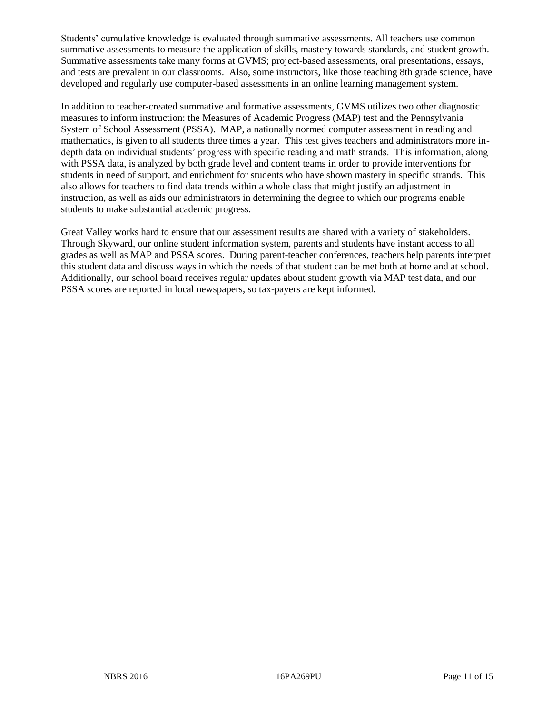Students' cumulative knowledge is evaluated through summative assessments. All teachers use common summative assessments to measure the application of skills, mastery towards standards, and student growth. Summative assessments take many forms at GVMS; project-based assessments, oral presentations, essays, and tests are prevalent in our classrooms. Also, some instructors, like those teaching 8th grade science, have developed and regularly use computer-based assessments in an online learning management system.

In addition to teacher-created summative and formative assessments, GVMS utilizes two other diagnostic measures to inform instruction: the Measures of Academic Progress (MAP) test and the Pennsylvania System of School Assessment (PSSA). MAP, a nationally normed computer assessment in reading and mathematics, is given to all students three times a year. This test gives teachers and administrators more indepth data on individual students' progress with specific reading and math strands. This information, along with PSSA data, is analyzed by both grade level and content teams in order to provide interventions for students in need of support, and enrichment for students who have shown mastery in specific strands. This also allows for teachers to find data trends within a whole class that might justify an adjustment in instruction, as well as aids our administrators in determining the degree to which our programs enable students to make substantial academic progress.

Great Valley works hard to ensure that our assessment results are shared with a variety of stakeholders. Through Skyward, our online student information system, parents and students have instant access to all grades as well as MAP and PSSA scores. During parent-teacher conferences, teachers help parents interpret this student data and discuss ways in which the needs of that student can be met both at home and at school. Additionally, our school board receives regular updates about student growth via MAP test data, and our PSSA scores are reported in local newspapers, so tax-payers are kept informed.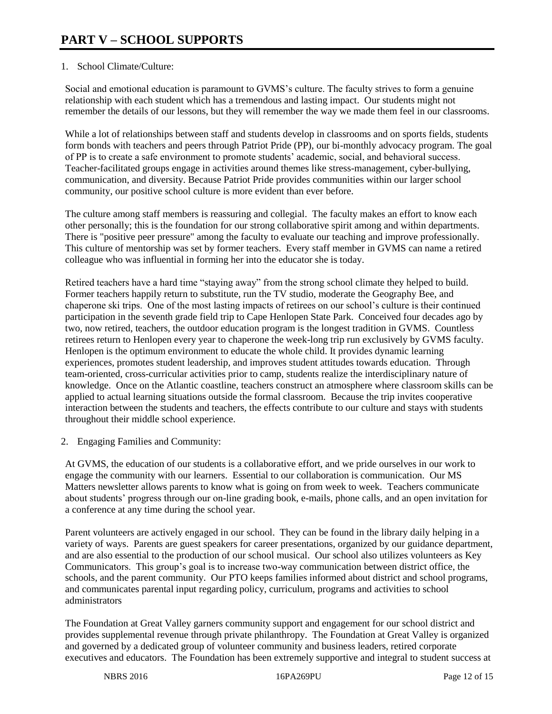## 1. School Climate/Culture:

Social and emotional education is paramount to GVMS's culture. The faculty strives to form a genuine relationship with each student which has a tremendous and lasting impact. Our students might not remember the details of our lessons, but they will remember the way we made them feel in our classrooms.

While a lot of relationships between staff and students develop in classrooms and on sports fields, students form bonds with teachers and peers through Patriot Pride (PP), our bi-monthly advocacy program. The goal of PP is to create a safe environment to promote students' academic, social, and behavioral success. Teacher-facilitated groups engage in activities around themes like stress-management, cyber-bullying, communication, and diversity. Because Patriot Pride provides communities within our larger school community, our positive school culture is more evident than ever before.

The culture among staff members is reassuring and collegial. The faculty makes an effort to know each other personally; this is the foundation for our strong collaborative spirit among and within departments. There is "positive peer pressure" among the faculty to evaluate our teaching and improve professionally. This culture of mentorship was set by former teachers. Every staff member in GVMS can name a retired colleague who was influential in forming her into the educator she is today.

Retired teachers have a hard time "staying away" from the strong school climate they helped to build. Former teachers happily return to substitute, run the TV studio, moderate the Geography Bee, and chaperone ski trips. One of the most lasting impacts of retirees on our school's culture is their continued participation in the seventh grade field trip to Cape Henlopen State Park. Conceived four decades ago by two, now retired, teachers, the outdoor education program is the longest tradition in GVMS. Countless retirees return to Henlopen every year to chaperone the week-long trip run exclusively by GVMS faculty. Henlopen is the optimum environment to educate the whole child. It provides dynamic learning experiences, promotes student leadership, and improves student attitudes towards education. Through team-oriented, cross-curricular activities prior to camp, students realize the interdisciplinary nature of knowledge. Once on the Atlantic coastline, teachers construct an atmosphere where classroom skills can be applied to actual learning situations outside the formal classroom. Because the trip invites cooperative interaction between the students and teachers, the effects contribute to our culture and stays with students throughout their middle school experience.

2. Engaging Families and Community:

At GVMS, the education of our students is a collaborative effort, and we pride ourselves in our work to engage the community with our learners. Essential to our collaboration is communication. Our MS Matters newsletter allows parents to know what is going on from week to week. Teachers communicate about students' progress through our on-line grading book, e-mails, phone calls, and an open invitation for a conference at any time during the school year.

Parent volunteers are actively engaged in our school. They can be found in the library daily helping in a variety of ways. Parents are guest speakers for career presentations, organized by our guidance department, and are also essential to the production of our school musical. Our school also utilizes volunteers as Key Communicators. This group's goal is to increase two-way communication between district office, the schools, and the parent community. Our PTO keeps families informed about district and school programs, and communicates parental input regarding policy, curriculum, programs and activities to school administrators

The Foundation at Great Valley garners community support and engagement for our school district and provides supplemental revenue through private philanthropy. The Foundation at Great Valley is organized and governed by a dedicated group of volunteer community and business leaders, retired corporate executives and educators. The Foundation has been extremely supportive and integral to student success at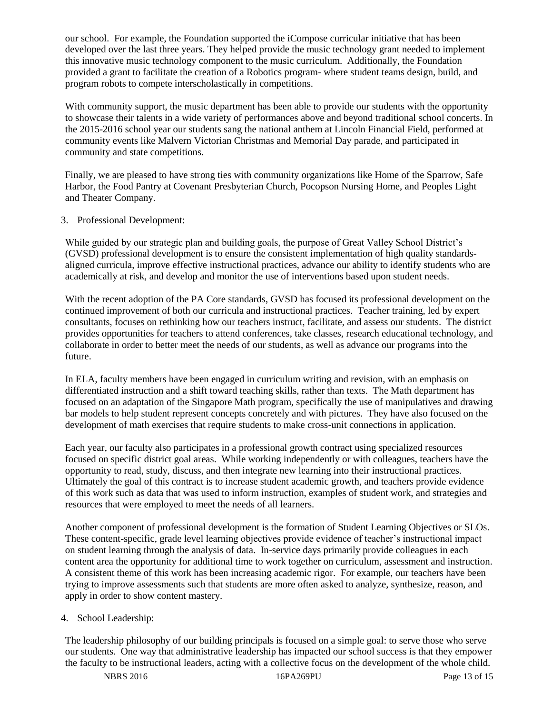our school. For example, the Foundation supported the iCompose curricular initiative that has been developed over the last three years. They helped provide the music technology grant needed to implement this innovative music technology component to the music curriculum. Additionally, the Foundation provided a grant to facilitate the creation of a Robotics program- where student teams design, build, and program robots to compete interscholastically in competitions.

With community support, the music department has been able to provide our students with the opportunity to showcase their talents in a wide variety of performances above and beyond traditional school concerts. In the 2015-2016 school year our students sang the national anthem at Lincoln Financial Field, performed at community events like Malvern Victorian Christmas and Memorial Day parade, and participated in community and state competitions.

Finally, we are pleased to have strong ties with community organizations like Home of the Sparrow, Safe Harbor, the Food Pantry at Covenant Presbyterian Church, Pocopson Nursing Home, and Peoples Light and Theater Company.

## 3. Professional Development:

While guided by our strategic plan and building goals, the purpose of Great Valley School District's (GVSD) professional development is to ensure the consistent implementation of high quality standardsaligned curricula, improve effective instructional practices, advance our ability to identify students who are academically at risk, and develop and monitor the use of interventions based upon student needs.

With the recent adoption of the PA Core standards, GVSD has focused its professional development on the continued improvement of both our curricula and instructional practices. Teacher training, led by expert consultants, focuses on rethinking how our teachers instruct, facilitate, and assess our students. The district provides opportunities for teachers to attend conferences, take classes, research educational technology, and collaborate in order to better meet the needs of our students, as well as advance our programs into the future.

In ELA, faculty members have been engaged in curriculum writing and revision, with an emphasis on differentiated instruction and a shift toward teaching skills, rather than texts. The Math department has focused on an adaptation of the Singapore Math program, specifically the use of manipulatives and drawing bar models to help student represent concepts concretely and with pictures. They have also focused on the development of math exercises that require students to make cross-unit connections in application.

Each year, our faculty also participates in a professional growth contract using specialized resources focused on specific district goal areas. While working independently or with colleagues, teachers have the opportunity to read, study, discuss, and then integrate new learning into their instructional practices. Ultimately the goal of this contract is to increase student academic growth, and teachers provide evidence of this work such as data that was used to inform instruction, examples of student work, and strategies and resources that were employed to meet the needs of all learners.

Another component of professional development is the formation of Student Learning Objectives or SLOs. These content-specific, grade level learning objectives provide evidence of teacher's instructional impact on student learning through the analysis of data. In-service days primarily provide colleagues in each content area the opportunity for additional time to work together on curriculum, assessment and instruction. A consistent theme of this work has been increasing academic rigor. For example, our teachers have been trying to improve assessments such that students are more often asked to analyze, synthesize, reason, and apply in order to show content mastery.

## 4. School Leadership:

The leadership philosophy of our building principals is focused on a simple goal: to serve those who serve our students. One way that administrative leadership has impacted our school success is that they empower the faculty to be instructional leaders, acting with a collective focus on the development of the whole child.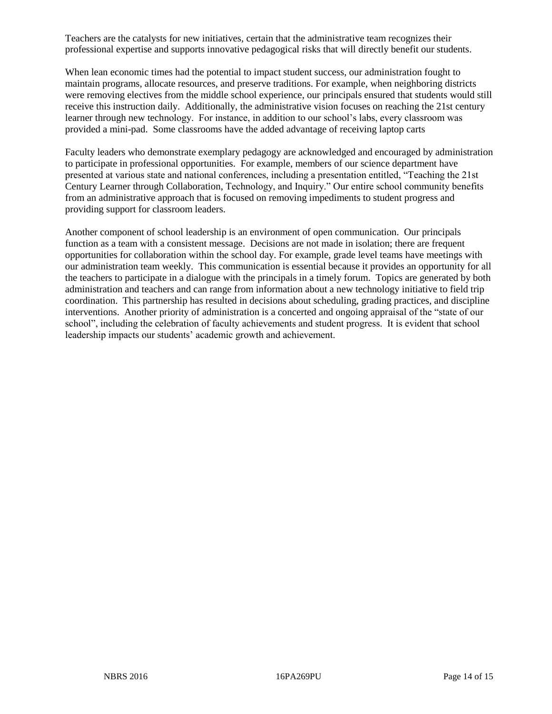Teachers are the catalysts for new initiatives, certain that the administrative team recognizes their professional expertise and supports innovative pedagogical risks that will directly benefit our students.

When lean economic times had the potential to impact student success, our administration fought to maintain programs, allocate resources, and preserve traditions. For example, when neighboring districts were removing electives from the middle school experience, our principals ensured that students would still receive this instruction daily. Additionally, the administrative vision focuses on reaching the 21st century learner through new technology. For instance, in addition to our school's labs, every classroom was provided a mini-pad. Some classrooms have the added advantage of receiving laptop carts

Faculty leaders who demonstrate exemplary pedagogy are acknowledged and encouraged by administration to participate in professional opportunities. For example, members of our science department have presented at various state and national conferences, including a presentation entitled, "Teaching the 21st Century Learner through Collaboration, Technology, and Inquiry." Our entire school community benefits from an administrative approach that is focused on removing impediments to student progress and providing support for classroom leaders.

Another component of school leadership is an environment of open communication. Our principals function as a team with a consistent message. Decisions are not made in isolation; there are frequent opportunities for collaboration within the school day. For example, grade level teams have meetings with our administration team weekly. This communication is essential because it provides an opportunity for all the teachers to participate in a dialogue with the principals in a timely forum. Topics are generated by both administration and teachers and can range from information about a new technology initiative to field trip coordination. This partnership has resulted in decisions about scheduling, grading practices, and discipline interventions. Another priority of administration is a concerted and ongoing appraisal of the "state of our school", including the celebration of faculty achievements and student progress. It is evident that school leadership impacts our students' academic growth and achievement.